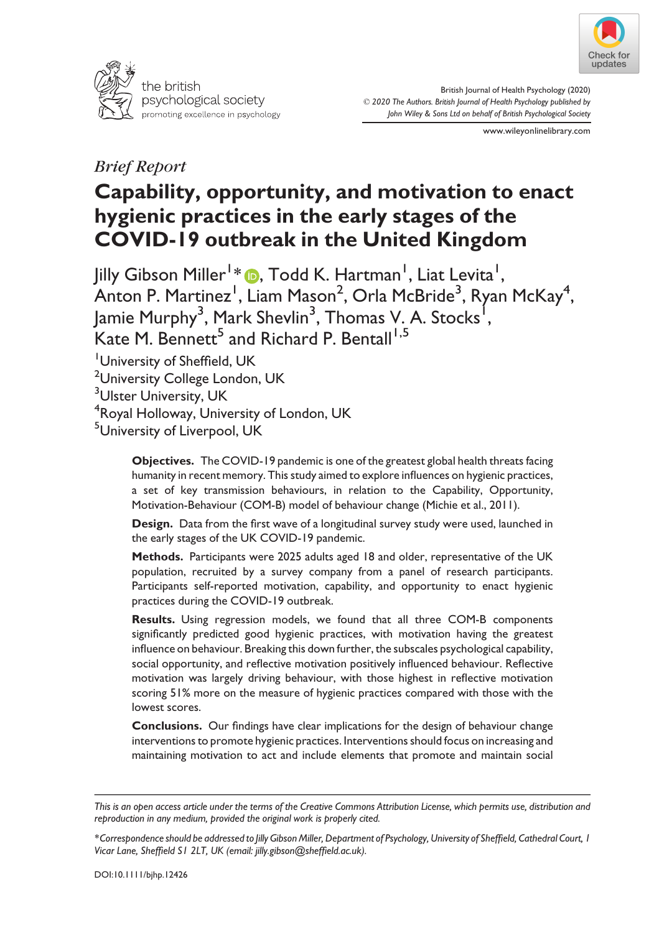



British Journal of Health Psychology (2020) © 2020 The Authors. British Journal of Health Psychology published by John Wiley & Sons Ltd on behalf of British Psychological Society

www.wileyonlinelibrary.com

# Brief Report

# Capability, opportunity, and motivation to enact hygienic practices in the early stages of the COVID-19 outbreak in the United Kingdom

Jilly Gibson Miller1 [\\*](https://orcid.org/0000-0002-1864-4889) , Todd K. Hartman<sup>1</sup> , Liat Levita1 ,  $\overline{\mathsf{Anton}}$  P. Martinez $^{\mathsf{I}}$ , Liam Mason $^{\mathsf{2}},$  Orla McBride $^{\mathsf{3}},$  Ryan McKay $^{\mathsf{4}},$ Jamie Murphy<sup>3</sup>, Mark Shevlin<sup>3</sup>, Thomas V. A. Stocks<sup>1</sup>, Kate M. Bennett<sup>5</sup> and Richard P. Bentall<sup>1,5</sup>

<sup>1</sup>University of Sheffield, UK <sup>2</sup>University College London, UK <sup>3</sup>Ulster University, UK

4 Royal Holloway, University of London, UK

5 University of Liverpool, UK

Objectives. The COVID-19 pandemic is one of the greatest global health threats facing humanity in recent memory. This study aimed to explore influences on hygienic practices, a set of key transmission behaviours, in relation to the Capability, Opportunity, Motivation-Behaviour (COM-B) model of behaviour change (Michie et al., 2011).

Design. Data from the first wave of a longitudinal survey study were used, launched in the early stages of the UK COVID-19 pandemic.

Methods. Participants were 2025 adults aged 18 and older, representative of the UK population, recruited by a survey company from a panel of research participants. Participants self-reported motivation, capability, and opportunity to enact hygienic practices during the COVID-19 outbreak.

Results. Using regression models, we found that all three COM-B components significantly predicted good hygienic practices, with motivation having the greatest influence on behaviour. Breaking this down further, the subscales psychological capability, social opportunity, and reflective motivation positively influenced behaviour. Reflective motivation was largely driving behaviour, with those highest in reflective motivation scoring 51% more on the measure of hygienic practices compared with those with the lowest scores.

Conclusions. Our findings have clear implications for the design of behaviour change interventions to promote hygienic practices. Interventions should focus on increasing and maintaining motivation to act and include elements that promote and maintain social

This is an open access article under the terms of the [Creative Commons Attribution](http://creativecommons.org/licenses/by/4.0/) License, which permits use, distribution and reproduction in any medium, provided the original work is properly cited.

<sup>\*</sup>Correspondence should be addressed to Jilly Gibson Miller, Department of Psychology, University of Sheffield, Cathedral Court, 1 Vicar Lane, Sheffield S1 2LT, UK (email: [jilly.gibson@sheffield.ac.uk](mailto:)).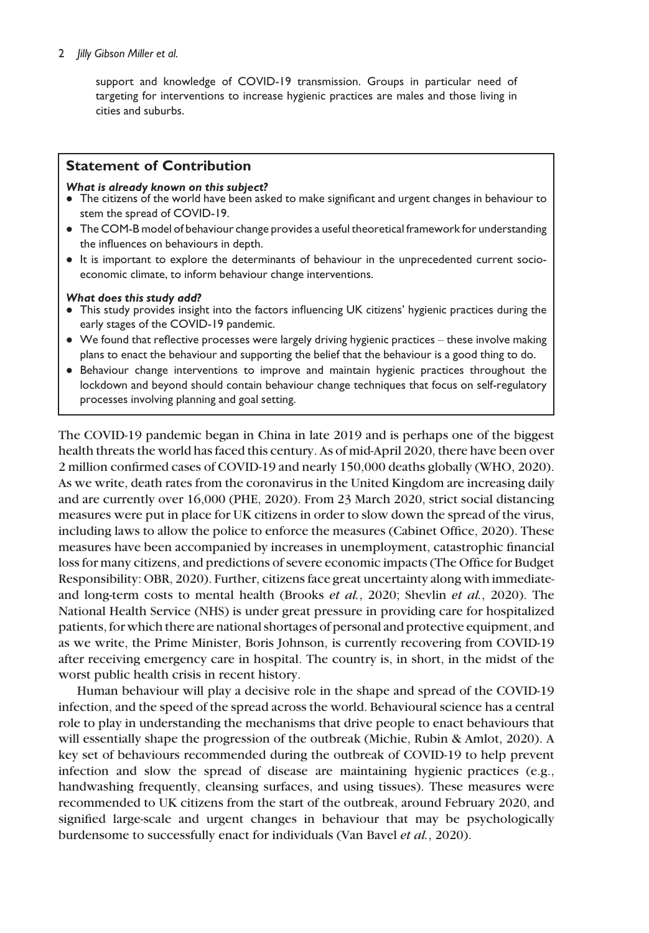#### 2 *Jilly Gibson Miller et al.*

support and knowledge of COVID-19 transmission. Groups in particular need of targeting for interventions to increase hygienic practices are males and those living in cities and suburbs.

## Statement of Contribution

#### What is already known on this subject?

- $\bullet$  The citizens of the world have been asked to make significant and urgent changes in behaviour to stem the spread of COVID-19.
- The COM-B model of behaviour change provides a useful theoretical framework for understanding the influences on behaviours in depth.
- It is important to explore the determinants of behaviour in the unprecedented current socioeconomic climate, to inform behaviour change interventions.

#### What does this study add?

- This study provides insight into the factors influencing UK citizens' hygienic practices during the early stages of the COVID-19 pandemic.
- We found that reflective processes were largely driving hygienic practices these involve making plans to enact the behaviour and supporting the belief that the behaviour is a good thing to do.
- Behaviour change interventions to improve and maintain hygienic practices throughout the lockdown and beyond should contain behaviour change techniques that focus on self-regulatory processes involving planning and goal setting.

The COVID-19 pandemic began in China in late 2019 and is perhaps one of the biggest health threats the world has faced this century. As of mid-April 2020, there have been over 2 million confirmed cases of COVID-19 and nearly 150,000 deaths globally (WHO, 2020). As we write, death rates from the coronavirus in the United Kingdom are increasing daily and are currently over 16,000 (PHE, 2020). From 23 March 2020, strict social distancing measures were put in place for UK citizens in order to slow down the spread of the virus, including laws to allow the police to enforce the measures (Cabinet Office, 2020). These measures have been accompanied by increases in unemployment, catastrophic financial loss for many citizens, and predictions of severe economic impacts (The Office for Budget Responsibility: OBR, 2020). Further, citizens face great uncertainty along with immediateand long-term costs to mental health (Brooks et al., 2020; Shevlin et al., 2020). The National Health Service (NHS) is under great pressure in providing care for hospitalized patients, for which there are national shortages of personal and protective equipment, and as we write, the Prime Minister, Boris Johnson, is currently recovering from COVID-19 after receiving emergency care in hospital. The country is, in short, in the midst of the worst public health crisis in recent history.

Human behaviour will play a decisive role in the shape and spread of the COVID-19 infection, and the speed of the spread across the world. Behavioural science has a central role to play in understanding the mechanisms that drive people to enact behaviours that will essentially shape the progression of the outbreak (Michie, Rubin & Amlot, 2020). A key set of behaviours recommended during the outbreak of COVID-19 to help prevent infection and slow the spread of disease are maintaining hygienic practices (e.g., handwashing frequently, cleansing surfaces, and using tissues). These measures were recommended to UK citizens from the start of the outbreak, around February 2020, and signified large-scale and urgent changes in behaviour that may be psychologically burdensome to successfully enact for individuals (Van Bavel et al., 2020).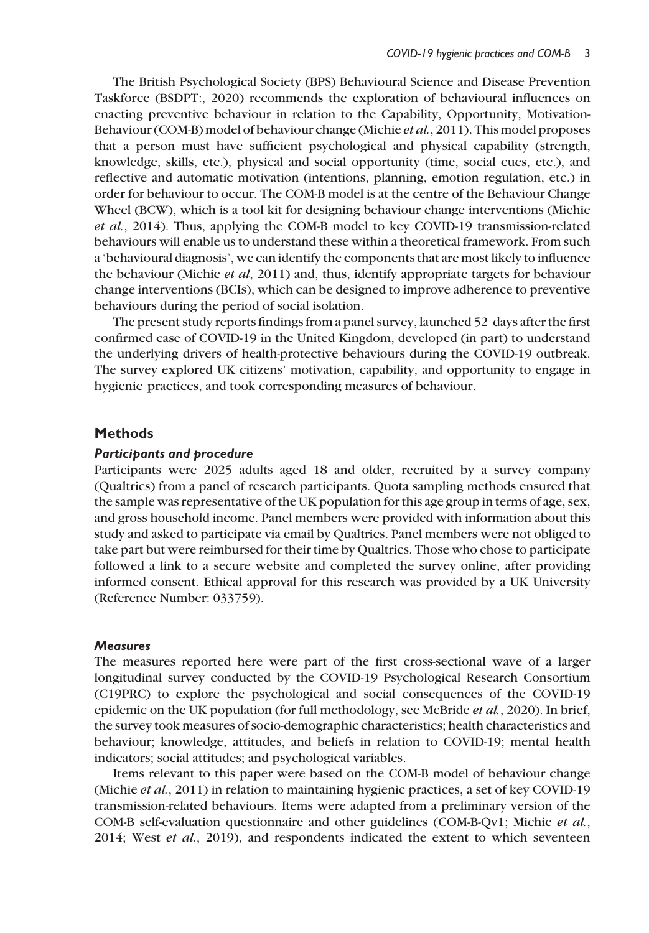The British Psychological Society (BPS) Behavioural Science and Disease Prevention Taskforce (BSDPT:, 2020) recommends the exploration of behavioural influences on enacting preventive behaviour in relation to the Capability, Opportunity, Motivation-Behaviour (COM-B) model of behaviour change (Michie et al., 2011). This model proposes that a person must have sufficient psychological and physical capability (strength, knowledge, skills, etc.), physical and social opportunity (time, social cues, etc.), and reflective and automatic motivation (intentions, planning, emotion regulation, etc.) in order for behaviour to occur. The COM-B model is at the centre of the Behaviour Change Wheel (BCW), which is a tool kit for designing behaviour change interventions (Michie et al., 2014). Thus, applying the COM-B model to key COVID-19 transmission-related behaviours will enable us to understand these within a theoretical framework. From such a 'behavioural diagnosis', we can identify the components that are most likely to influence the behaviour (Michie et al, 2011) and, thus, identify appropriate targets for behaviour change interventions (BCIs), which can be designed to improve adherence to preventive behaviours during the period of social isolation.

The present study reports findings from a panel survey, launched 52 days after the first confirmed case of COVID-19 in the United Kingdom, developed (in part) to understand the underlying drivers of health-protective behaviours during the COVID-19 outbreak. The survey explored UK citizens' motivation, capability, and opportunity to engage in hygienic practices, and took corresponding measures of behaviour.

#### **Methods**

#### Participants and procedure

Participants were 2025 adults aged 18 and older, recruited by a survey company (Qualtrics) from a panel of research participants. Quota sampling methods ensured that the sample was representative of the UK population for this age group in terms of age, sex, and gross household income. Panel members were provided with information about this study and asked to participate via email by Qualtrics. Panel members were not obliged to take part but were reimbursed for their time by Qualtrics. Those who chose to participate followed a link to a secure website and completed the survey online, after providing informed consent. Ethical approval for this research was provided by a UK University (Reference Number: 033759).

#### **Measures**

The measures reported here were part of the first cross-sectional wave of a larger longitudinal survey conducted by the COVID-19 Psychological Research Consortium (C19PRC) to explore the psychological and social consequences of the COVID-19 epidemic on the UK population (for full methodology, see McBride et al., 2020). In brief, the survey took measures of socio-demographic characteristics; health characteristics and behaviour; knowledge, attitudes, and beliefs in relation to COVID-19; mental health indicators; social attitudes; and psychological variables.

Items relevant to this paper were based on the COM-B model of behaviour change (Michie et al., 2011) in relation to maintaining hygienic practices, a set of key COVID-19 transmission-related behaviours. Items were adapted from a preliminary version of the COM-B self-evaluation questionnaire and other guidelines (COM-B-Qv1; Michie et al.,  $2014$ ; West *et al.*,  $2019$ ), and respondents indicated the extent to which seventeen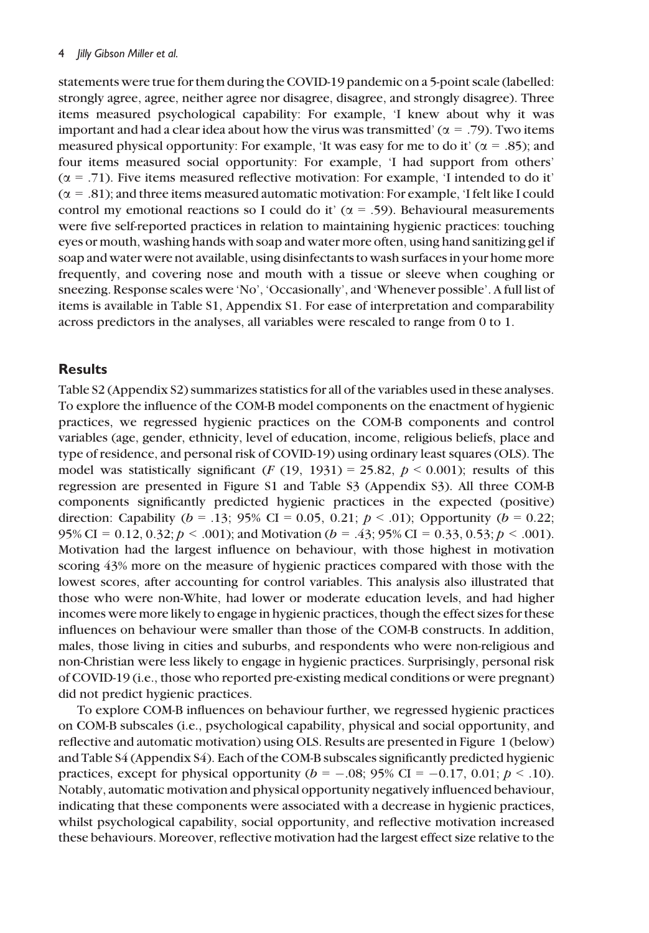statements were true for them during the COVID-19 pandemic on a 5-point scale (labelled: strongly agree, agree, neither agree nor disagree, disagree, and strongly disagree). Three items measured psychological capability: For example, 'I knew about why it was important and had a clear idea about how the virus was transmitted' ( $\alpha$  = .79). Two items measured physical opportunity: For example, 'It was easy for me to do it' ( $\alpha$  = .85); and four items measured social opportunity: For example, 'I had support from others'  $(\alpha = .71)$ . Five items measured reflective motivation: For example, 'I intended to do it'  $(\alpha = .81)$ ; and three items measured automatic motivation: For example, 'I felt like I could control my emotional reactions so I could do it' ( $\alpha$  = .59). Behavioural measurements were five self-reported practices in relation to maintaining hygienic practices: touching eyes or mouth, washing hands with soap and water more often, using hand sanitizing gel if soap and water were not available, using disinfectants to wash surfaces in your home more frequently, and covering nose and mouth with a tissue or sleeve when coughing or sneezing. Response scales were 'No', 'Occasionally', and 'Whenever possible'. A full list of items is available in Table S1, Appendix S1. For ease of interpretation and comparability across predictors in the analyses, all variables were rescaled to range from 0 to 1.

## Results

Table S2 (Appendix S2) summarizes statistics for all of the variables used in these analyses. To explore the influence of the COM-B model components on the enactment of hygienic practices, we regressed hygienic practices on the COM-B components and control variables (age, gender, ethnicity, level of education, income, religious beliefs, place and type of residence, and personal risk of COVID-19) using ordinary least squares (OLS). The model was statistically significant (F (19, 1931) = 25.82,  $p < 0.001$ ); results of this regression are presented in Figure S1 and Table S3 (Appendix S3). All three COM-B components significantly predicted hygienic practices in the expected (positive) direction: Capability ( $b = .13$ ; 95% CI = 0.05, 0.21;  $p < .01$ ); Opportunity ( $b = 0.22$ ; 95% CI = 0.12, 0.32;  $p < .001$ ); and Motivation ( $b = .43$ ; 95% CI = 0.33, 0.53;  $p < .001$ ). Motivation had the largest influence on behaviour, with those highest in motivation scoring 43% more on the measure of hygienic practices compared with those with the lowest scores, after accounting for control variables. This analysis also illustrated that those who were non-White, had lower or moderate education levels, and had higher incomes were more likely to engage in hygienic practices, though the effect sizes for these influences on behaviour were smaller than those of the COM-B constructs. In addition, males, those living in cities and suburbs, and respondents who were non-religious and non-Christian were less likely to engage in hygienic practices. Surprisingly, personal risk of COVID-19 (i.e., those who reported pre-existing medical conditions or were pregnant) did not predict hygienic practices.

To explore COM-B influences on behaviour further, we regressed hygienic practices on COM-B subscales (i.e., psychological capability, physical and social opportunity, and reflective and automatic motivation) using OLS. Results are presented in Figure 1 (below) and Table S4 (Appendix S4). Each of the COM-B subscales significantly predicted hygienic practices, except for physical opportunity ( $b = -.08$ ; 95% CI = -0.17, 0.01;  $p < .10$ ). Notably, automatic motivation and physical opportunity negatively influenced behaviour, indicating that these components were associated with a decrease in hygienic practices, whilst psychological capability, social opportunity, and reflective motivation increased these behaviours. Moreover, reflective motivation had the largest effect size relative to the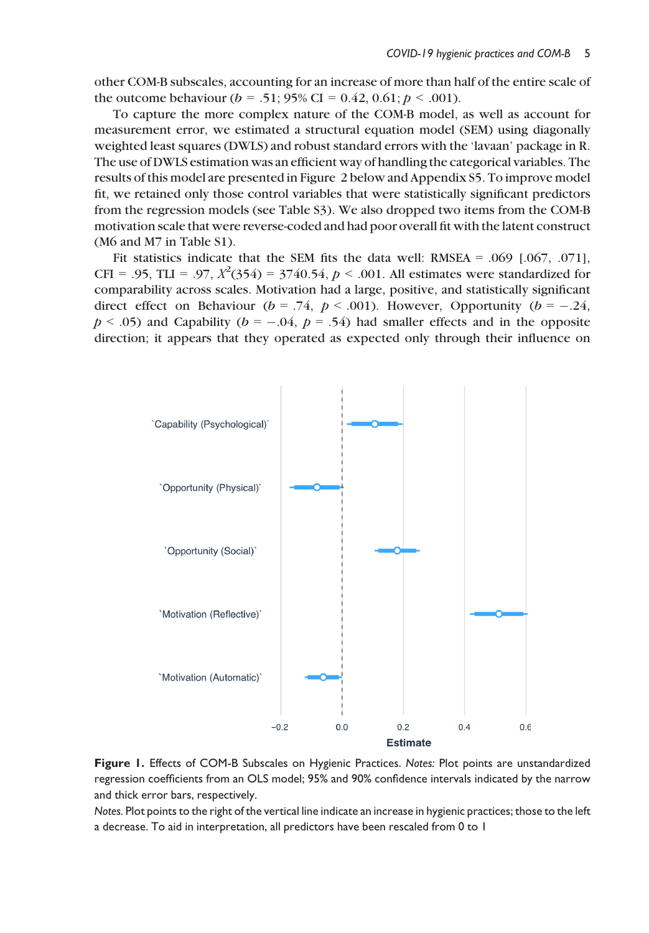other COM-B subscales, accounting for an increase of more than half of the entire scale of the outcome behaviour ( $b = .51$ ; 95% CI = 0.42, 0.61;  $p < .001$ ).

To capture the more complex nature of the COM-B model, as well as account for measurement error, we estimated a structural equation model (SEM) using diagonally weighted least squares (DWLS) and robust standard errors with the 'lavaan' package in R. The use of DWLS estimation was an efficient way of handling the categorical variables. The results of this model are presented in Figure 2 below and Appendix S5. To improve model fit, we retained only those control variables that were statistically significant predictors from the regression models (see Table S3). We also dropped two items from the COM-B motivation scale that were reverse-coded and had poor overall fit with the latent construct (M6 and M7 in Table S1).

Fit statistics indicate that the SEM fits the data well: RMSEA =  $.069$   $[.067, .071]$ , CFI = .95, TLI = .97,  $X^2(354) = 3740.54$ ,  $p < .001$ . All estimates were standardized for comparability across scales. Motivation had a large, positive, and statistically significant direct effect on Behaviour ( $b = .74$ ,  $p < .001$ ). However, Opportunity ( $b = -.24$ ,  $p < .05$ ) and Capability ( $b = -.04$ ,  $p = .54$ ) had smaller effects and in the opposite direction; it appears that they operated as expected only through their influence on



Figure 1. Effects of COM-B Subscales on Hygienic Practices. Notes: Plot points are unstandardized regression coefficients from an OLS model; 95% and 90% confidence intervals indicated by the narrow and thick error bars, respectively.

Notes. Plot points to the right of the vertical line indicate an increase in hygienic practices; those to the left a decrease. To aid in interpretation, all predictors have been rescaled from 0 to 1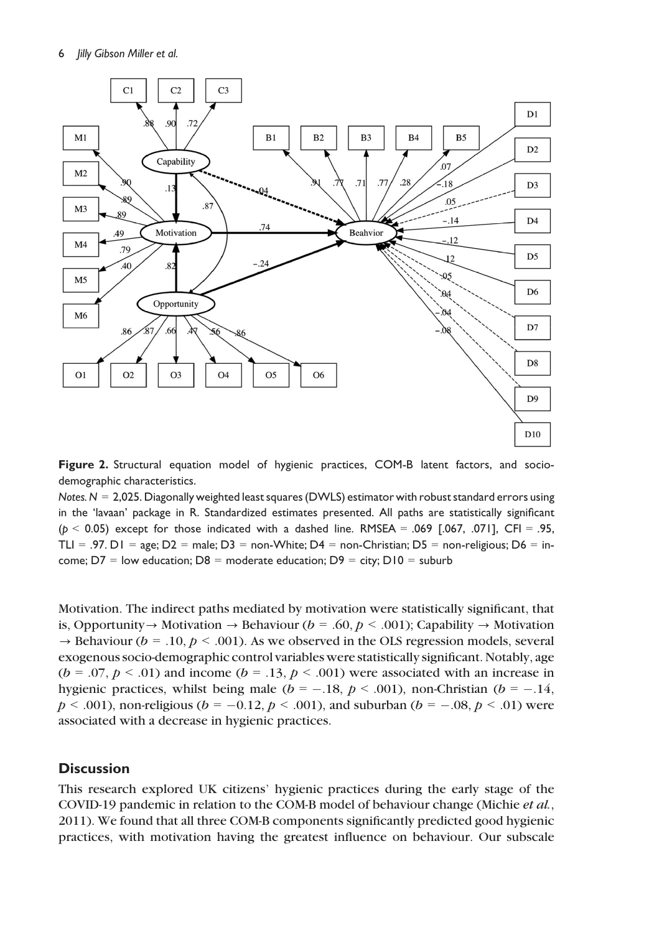

Figure 2. Structural equation model of hygienic practices, COM-B latent factors, and sociodemographic characteristics.

Notes.  $N = 2,025$ . Diagonally weighted least squares (DWLS) estimator with robust standard errors using in the 'lavaan' package in R. Standardized estimates presented. All paths are statistically significant  $(p < 0.05)$  except for those indicated with a dashed line. RMSEA = .069 [.067, .071], CFI = .95, TLI = .97. D1 = age; D2 = male; D3 = non-White; D4 = non-Christian; D5 = non-religious; D6 = income;  $D7 =$  low education;  $D8 =$  moderate education;  $D9 =$  city;  $D10 =$  suburb

Motivation. The indirect paths mediated by motivation were statistically significant, that is, Opportunity  $\rightarrow$  Motivation  $\rightarrow$  Behaviour (b = .60, p < .001); Capability  $\rightarrow$  Motivation  $\rightarrow$  Behaviour (b = .10, p < .001). As we observed in the OLS regression models, several exogenous socio-demographic control variables were statistically significant. Notably, age  $(b = .07, p < .01)$  and income  $(b = .13, p < .001)$  were associated with an increase in hygienic practices, whilst being male ( $b = -.18$ ,  $p < .001$ ), non-Christian ( $b = -.14$ ,  $p < .001$ ), non-religious ( $b = -0.12$ ,  $p < .001$ ), and suburban ( $b = -.08$ ,  $p < .01$ ) were associated with a decrease in hygienic practices.

## **Discussion**

This research explored UK citizens' hygienic practices during the early stage of the COVID-19 pandemic in relation to the COM-B model of behaviour change (Michie et al., 2011). We found that all three COM-B components significantly predicted good hygienic practices, with motivation having the greatest influence on behaviour. Our subscale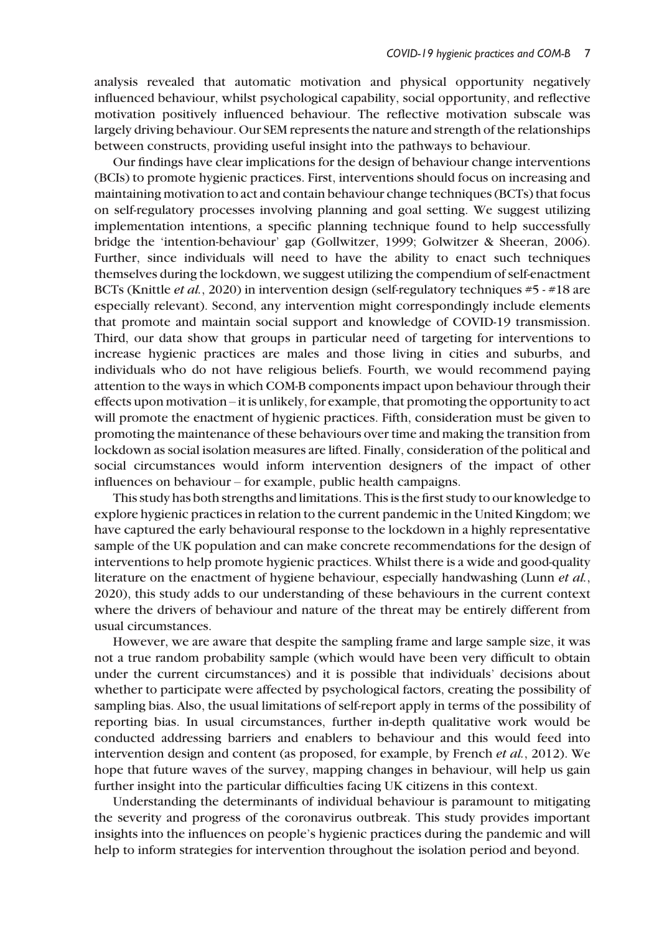analysis revealed that automatic motivation and physical opportunity negatively influenced behaviour, whilst psychological capability, social opportunity, and reflective motivation positively influenced behaviour. The reflective motivation subscale was largely driving behaviour. Our SEM represents the nature and strength of the relationships between constructs, providing useful insight into the pathways to behaviour.

Our findings have clear implications for the design of behaviour change interventions (BCIs) to promote hygienic practices. First, interventions should focus on increasing and maintaining motivation to act and contain behaviour change techniques (BCTs) that focus on self-regulatory processes involving planning and goal setting. We suggest utilizing implementation intentions, a specific planning technique found to help successfully bridge the 'intention-behaviour' gap (Gollwitzer, 1999; Golwitzer & Sheeran, 2006). Further, since individuals will need to have the ability to enact such techniques themselves during the lockdown, we suggest utilizing the compendium of self-enactment BCTs (Knittle et al., 2020) in intervention design (self-regulatory techniques #5 - #18 are especially relevant). Second, any intervention might correspondingly include elements that promote and maintain social support and knowledge of COVID-19 transmission. Third, our data show that groups in particular need of targeting for interventions to increase hygienic practices are males and those living in cities and suburbs, and individuals who do not have religious beliefs. Fourth, we would recommend paying attention to the ways in which COM-B components impact upon behaviour through their effects upon motivation – it is unlikely, for example, that promoting the opportunity to act will promote the enactment of hygienic practices. Fifth, consideration must be given to promoting the maintenance of these behaviours over time and making the transition from lockdown as social isolation measures are lifted. Finally, consideration of the political and social circumstances would inform intervention designers of the impact of other influences on behaviour – for example, public health campaigns.

This study has both strengths and limitations. This is the first study to our knowledge to explore hygienic practices in relation to the current pandemic in the United Kingdom; we have captured the early behavioural response to the lockdown in a highly representative sample of the UK population and can make concrete recommendations for the design of interventions to help promote hygienic practices. Whilst there is a wide and good-quality literature on the enactment of hygiene behaviour, especially handwashing (Lunn et al., 2020), this study adds to our understanding of these behaviours in the current context where the drivers of behaviour and nature of the threat may be entirely different from usual circumstances.

However, we are aware that despite the sampling frame and large sample size, it was not a true random probability sample (which would have been very difficult to obtain under the current circumstances) and it is possible that individuals' decisions about whether to participate were affected by psychological factors, creating the possibility of sampling bias. Also, the usual limitations of self-report apply in terms of the possibility of reporting bias. In usual circumstances, further in-depth qualitative work would be conducted addressing barriers and enablers to behaviour and this would feed into intervention design and content (as proposed, for example, by French *et al.*, 2012). We hope that future waves of the survey, mapping changes in behaviour, will help us gain further insight into the particular difficulties facing UK citizens in this context.

Understanding the determinants of individual behaviour is paramount to mitigating the severity and progress of the coronavirus outbreak. This study provides important insights into the influences on people's hygienic practices during the pandemic and will help to inform strategies for intervention throughout the isolation period and beyond.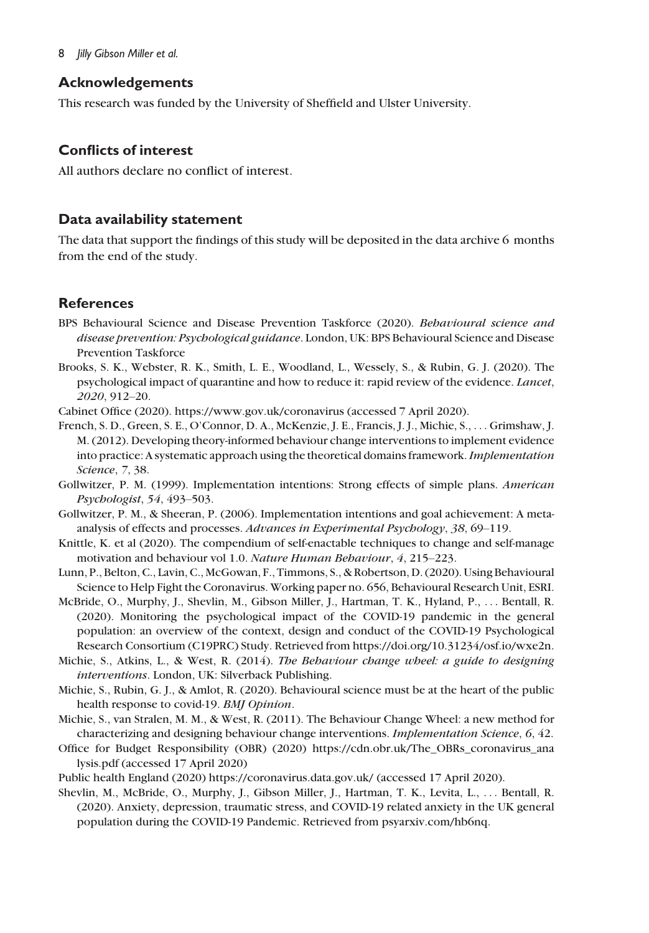### 8 *Jilly Gibson Miller et al.*

## Acknowledgements

This research was funded by the University of Sheffield and Ulster University.

## Conflicts of interest

All authors declare no conflict of interest.

## Data availability statement

The data that support the findings of this study will be deposited in the data archive 6 months from the end of the study.

# **References**

- BPS Behavioural Science and Disease Prevention Taskforce (2020). Behavioural science and disease prevention: Psychological guidance. London, UK: BPS Behavioural Science and Disease Prevention Taskforce
- Brooks, S. K., Webster, R. K., Smith, L. E., Woodland, L., Wessely, S., & Rubin, G. J. (2020). The psychological impact of quarantine and how to reduce it: rapid review of the evidence. Lancet, 2020, 912–20.
- Cabinet Office (2020).<https://www.gov.uk/coronavirus> (accessed 7 April 2020).
- French, S. D., Green, S. E., O'Connor, D. A., McKenzie, J. E., Francis, J. J., Michie, S., ... Grimshaw, J. M. (2012). Developing theory-informed behaviour change interventions to implement evidence into practice: A systematic approach using the theoretical domains framework. Implementation Science, 7, 38.
- Gollwitzer, P. M. (1999). Implementation intentions: Strong effects of simple plans. American Psychologist, 54, 493–503.
- Gollwitzer, P. M., & Sheeran, P. (2006). Implementation intentions and goal achievement: A metaanalysis of effects and processes. Advances in Experimental Psychology, 38, 69–119.
- Knittle, K. et al (2020). The compendium of self-enactable techniques to change and self-manage motivation and behaviour vol 1.0. Nature Human Behaviour, 4, 215–223.
- Lunn, P., Belton, C., Lavin, C., McGowan, F., Timmons, S., & Robertson, D. (2020). Using Behavioural Science to Help Fight the Coronavirus. Working paper no. 656, Behavioural Research Unit, ESRI.
- McBride, O., Murphy, J., Shevlin, M., Gibson Miller, J., Hartman, T. K., Hyland, P., ... Bentall, R. (2020). Monitoring the psychological impact of the COVID-19 pandemic in the general population: an overview of the context, design and conduct of the COVID-19 Psychological Research Consortium (C19PRC) Study. Retrieved from [https://doi.org/10.31234/osf.io/wxe2n.](https://doi.org/10.31234/osf.io/wxe2n)
- Michie, S., Atkins, L., & West, R. (2014). The Behaviour change wheel: a guide to designing interventions. London, UK: Silverback Publishing.
- Michie, S., Rubin, G. J., & Amlot, R. (2020). Behavioural science must be at the heart of the public health response to covid-19. BMJ Opinion.
- Michie, S., van Stralen, M. M., & West, R. (2011). The Behaviour Change Wheel: a new method for characterizing and designing behaviour change interventions. Implementation Science, 6, 42.
- Office for Budget Responsibility (OBR) (2020) [https://cdn.obr.uk/The\\_OBRs\\_coronavirus\\_ana](https://cdn.obr.uk/The_OBRs_coronavirus_analysis.pdf) [lysis.pdf](https://cdn.obr.uk/The_OBRs_coronavirus_analysis.pdf) (accessed 17 April 2020)
- Public health England (2020)<https://coronavirus.data.gov.uk/> (accessed 17 April 2020).
- Shevlin, M., McBride, O., Murphy, J., Gibson Miller, J., Hartman, T. K., Levita, L., ... Bentall, R. (2020). Anxiety, depression, traumatic stress, and COVID-19 related anxiety in the UK general population during the COVID-19 Pandemic. Retrieved from [psyarxiv.com/hb6nq](http://psyarxiv.com/hb6nq).